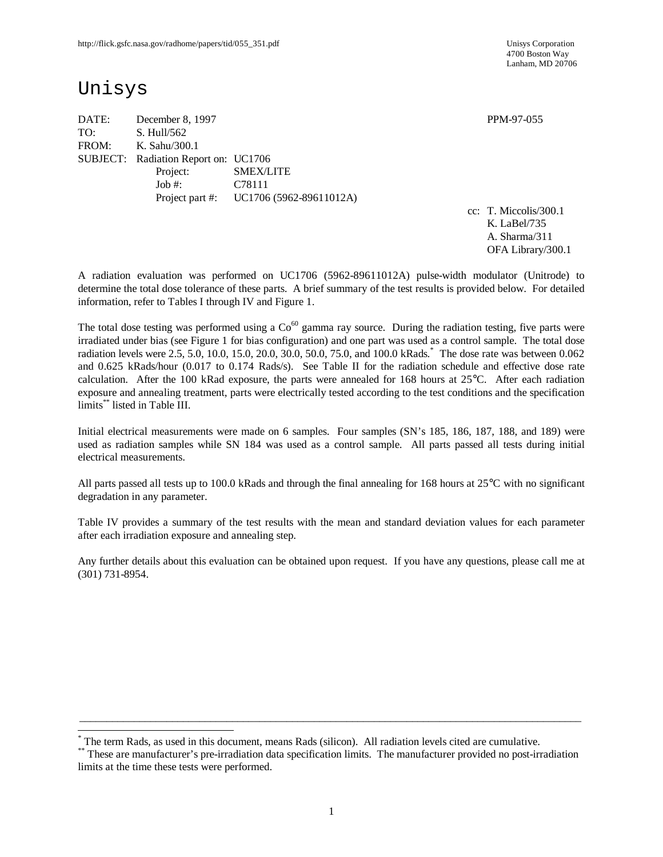4700 Boston Way Lanham, MD 20706

# Unisys

-

DATE: December 8, 1997 **PPM-97-055** TO: S. Hull/562 FROM: K. Sahu/300.1 SUBJECT: Radiation Report on: UC1706 Project: SMEX/LITE Job #: C78111 Project part #: UC1706 (5962-89611012A)

cc: T. Miccolis/300.1 K. LaBel/735 A. Sharma/311 OFA Library/300.1

A radiation evaluation was performed on UC1706 (5962-89611012A) pulse-width modulator (Unitrode) to determine the total dose tolerance of these parts. A brief summary of the test results is provided below. For detailed information, refer to Tables I through IV and Figure 1.

The total dose testing was performed using a  $Co<sup>60</sup>$  gamma ray source. During the radiation testing, five parts were irradiated under bias (see Figure 1 for bias configuration) and one part was used as a control sample. The total dose radiation levels were 2.5, 5.0, 10.0, 15.0, 20.0, 30.0, 50.0, 75.0, and 100.0 kRads. \* The dose rate was between 0.062 and 0.625 kRads/hour (0.017 to 0.174 Rads/s). See Table II for the radiation schedule and effective dose rate calculation. After the 100 kRad exposure, the parts were annealed for 168 hours at 25°C. After each radiation exposure and annealing treatment, parts were electrically tested according to the test conditions and the specification limits\*\* listed in Table III.

Initial electrical measurements were made on 6 samples. Four samples (SN's 185, 186, 187, 188, and 189) were used as radiation samples while SN 184 was used as a control sample. All parts passed all tests during initial electrical measurements.

All parts passed all tests up to 100.0 kRads and through the final annealing for 168 hours at  $25^{\circ}$ C with no significant degradation in any parameter.

Table IV provides a summary of the test results with the mean and standard deviation values for each parameter after each irradiation exposure and annealing step.

Any further details about this evaluation can be obtained upon request. If you have any questions, please call me at (301) 731-8954.

 $\_$  ,  $\_$  ,  $\_$  ,  $\_$  ,  $\_$  ,  $\_$  ,  $\_$  ,  $\_$  ,  $\_$  ,  $\_$  ,  $\_$  ,  $\_$  ,  $\_$  ,  $\_$  ,  $\_$  ,  $\_$  ,  $\_$  ,  $\_$  ,  $\_$  ,  $\_$  ,  $\_$  ,  $\_$  ,  $\_$  ,  $\_$  ,  $\_$  ,  $\_$  ,  $\_$  ,  $\_$  ,  $\_$  ,  $\_$  ,  $\_$  ,  $\_$  ,  $\_$  ,  $\_$  ,  $\_$  ,  $\_$  ,  $\_$  ,

<sup>\*</sup> The term Rads, as used in this document, means Rads (silicon). All radiation levels cited are cumulative.

<sup>\*\*</sup> These are manufacturer's pre-irradiation data specification limits. The manufacturer provided no post-irradiation limits at the time these tests were performed.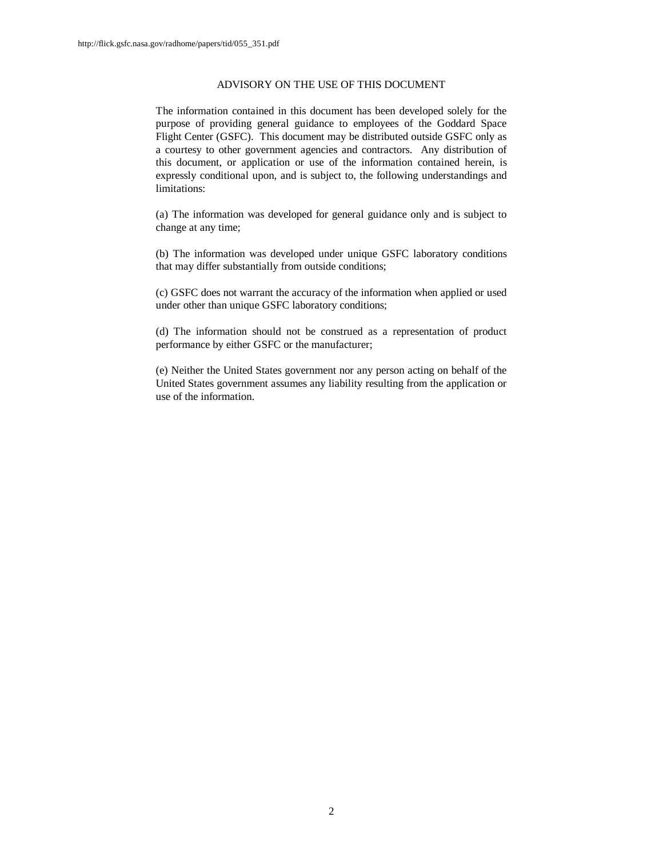#### ADVISORY ON THE USE OF THIS DOCUMENT

The information contained in this document has been developed solely for the purpose of providing general guidance to employees of the Goddard Space Flight Center (GSFC). This document may be distributed outside GSFC only as a courtesy to other government agencies and contractors. Any distribution of this document, or application or use of the information contained herein, is expressly conditional upon, and is subject to, the following understandings and limitations:

(a) The information was developed for general guidance only and is subject to change at any time;

(b) The information was developed under unique GSFC laboratory conditions that may differ substantially from outside conditions;

(c) GSFC does not warrant the accuracy of the information when applied or used under other than unique GSFC laboratory conditions;

(d) The information should not be construed as a representation of product performance by either GSFC or the manufacturer;

(e) Neither the United States government nor any person acting on behalf of the United States government assumes any liability resulting from the application or use of the information.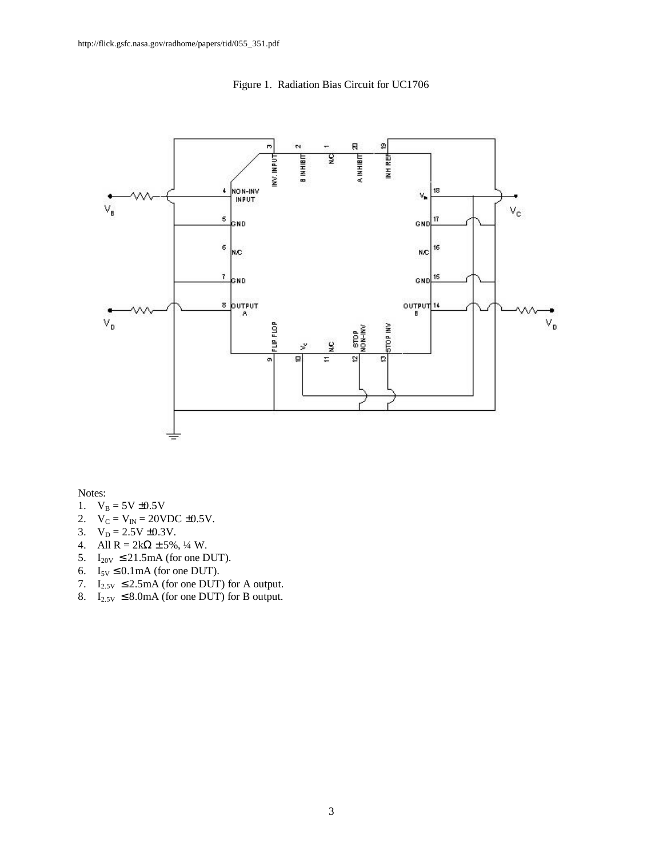

Figure 1. Radiation Bias Circuit for UC1706

Notes:

- 1.  $V_B = 5V \pm 0.5V$
- 2.  $V_C = V_{IN} = 20 VDC \pm 0.5 V$ .
- 3.  $V_D = 2.5V \pm 0.3V$ .
- 4. All  $R = 2k\Omega \pm 5\%, \frac{1}{4} W$ .
- 5.  $I_{20V} \leq 21.5 \text{mA}$  (for one DUT).
- 6.  $I_{5V} \leq 0.1 \text{mA}$  (for one DUT).
- 7.  $I_{2.5V} \leq 2.5 \text{mA}$  (for one DUT) for A output.
- 8.  $I_{2.5V} \leq 8.0 \text{mA}$  (for one DUT) for B output.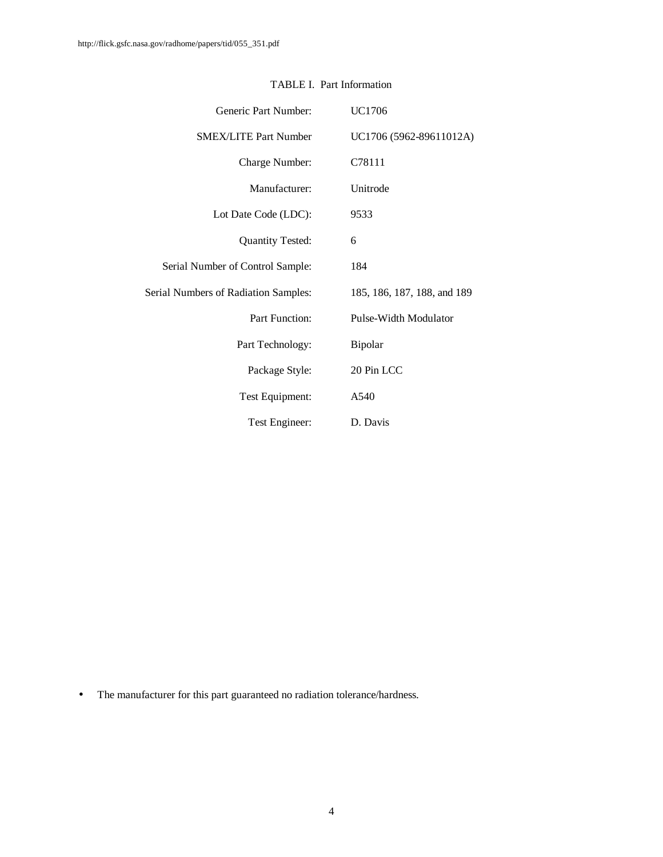| Generic Part Number:                        | UC1706                      |
|---------------------------------------------|-----------------------------|
| <b>SMEX/LITE Part Number</b>                | UC1706 (5962-89611012A)     |
| Charge Number:                              | C78111                      |
| Manufacturer:                               | Unitrode                    |
| Lot Date Code (LDC):                        | 9533                        |
| <b>Quantity Tested:</b>                     | 6                           |
| Serial Number of Control Sample:            | 184                         |
| <b>Serial Numbers of Radiation Samples:</b> | 185, 186, 187, 188, and 189 |
| Part Function:                              | Pulse-Width Modulator       |
| Part Technology:                            | Bipolar                     |
| Package Style:                              | 20 Pin LCC                  |
| Test Equipment:                             | A540                        |
| Test Engineer:                              | D. Davis                    |

### TABLE I. Part Information

• The manufacturer for this part guaranteed no radiation tolerance/hardness.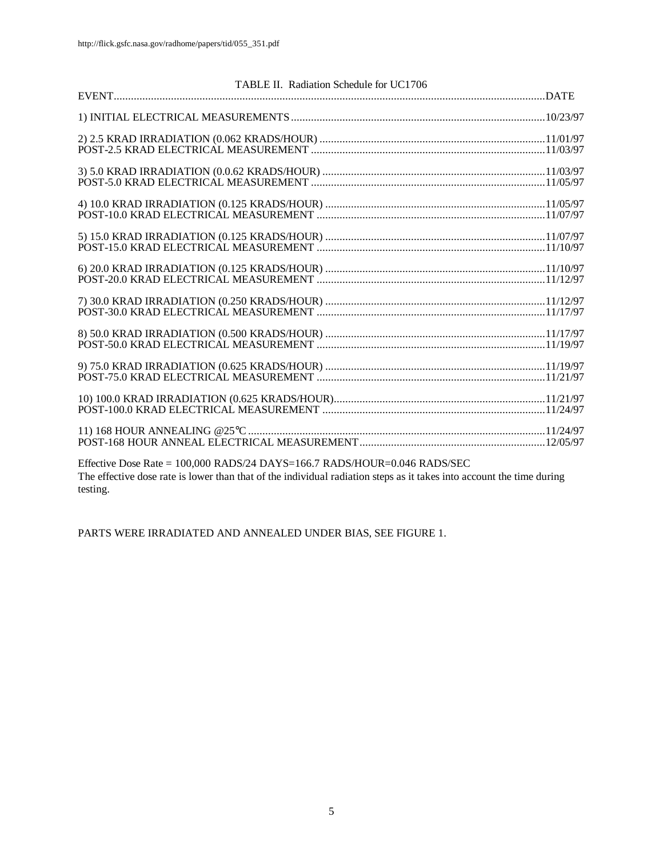| TABLE II. Radiation Schedule for UC1706 |  |
|-----------------------------------------|--|
|                                         |  |
|                                         |  |
|                                         |  |
|                                         |  |
|                                         |  |
|                                         |  |
|                                         |  |
|                                         |  |
|                                         |  |
|                                         |  |
|                                         |  |
|                                         |  |
|                                         |  |
|                                         |  |
|                                         |  |
|                                         |  |
|                                         |  |
|                                         |  |
|                                         |  |
|                                         |  |
|                                         |  |
|                                         |  |
|                                         |  |

Effective Dose Rate = 100,000 RADS/24 DAYS=166.7 RADS/HOUR=0.046 RADS/SEC The effective dose rate is lower than that of the individual radiation steps as it takes into account the time during testing.

PARTS WERE IRRADIATED AND ANNEALED UNDER BIAS, SEE FIGURE 1.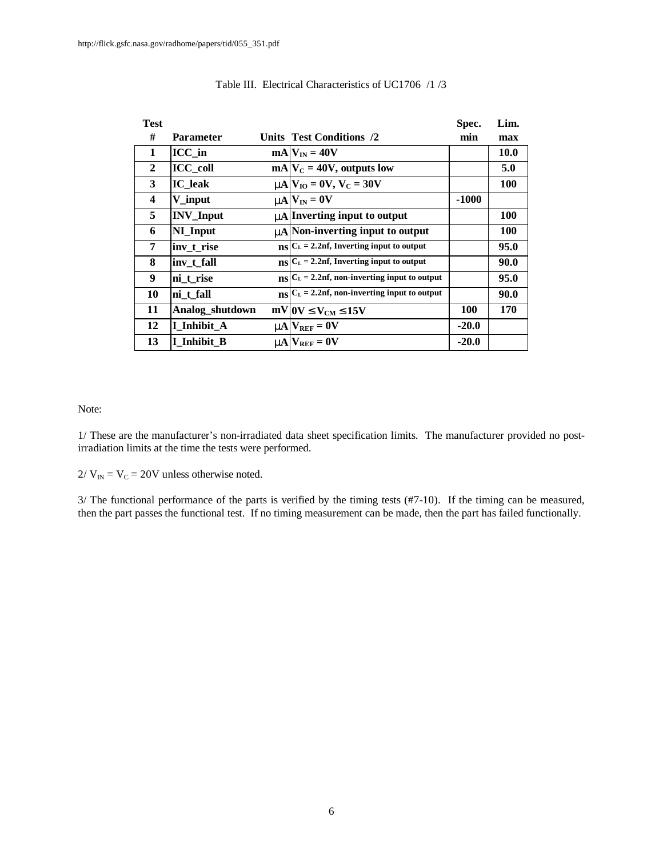| <b>Test</b>             |                  |                                                                   | Spec.      | Lim.        |
|-------------------------|------------------|-------------------------------------------------------------------|------------|-------------|
| #                       | <b>Parameter</b> | Units Test Conditions /2                                          | min        | max         |
| 1                       | ICC in           | $mA V_{IN} = 40V$                                                 |            | <b>10.0</b> |
| $\mathbf{2}$            | $ICC_{coll}$     | $mA V_C = 40V$ , outputs low                                      |            | 5.0         |
| 3                       | <b>IC</b> leak   | $mN_{\rm IO}=0V, V_{\rm C}=30V$                                   |            | <b>100</b>  |
| $\overline{\mathbf{4}}$ | V_input          | $mN = 0V$                                                         | $-1000$    |             |
| 5                       | <b>INV_Input</b> | <b>nn</b> Inverting input to output                               |            | 100         |
| 6                       | NI_Input         | <b>mA</b> Non-inverting input to output                           |            | <b>100</b>  |
| 7                       | inv t rise       | $_{\text{BS}} C_{\text{L}}=2.2$ nf, Inverting input to output     |            | 95.0        |
| 8                       | inv t fall       | $_{\text{BS}} C_{L} = 2.2$ nf, Inverting input to output          |            | 90.0        |
| 9                       | ni t rise        | $_{\text{NS}} C_{\text{L}}=2.2$ nf, non-inverting input to output |            | 95.0        |
| 10                      | ni t fall        | $_{\text{BS}} C_{\text{L}}=2.2$ nf, non-inverting input to output |            | 90.0        |
| 11                      | Analog_shutdown  | $mV$ OV $EV_{CM}$ £15V                                            | <b>100</b> | 170         |
| 12                      | I Inhibit A      | $mA$ $V_{REF} = 0V$                                               | $-20.0$    |             |
| 13                      | I Inhibit B      | $mN_{REF} = 0V$                                                   | $-20.0$    |             |

#### Table III. Electrical Characteristics of UC1706 /1 /3

Note:

1/ These are the manufacturer's non-irradiated data sheet specification limits. The manufacturer provided no postirradiation limits at the time the tests were performed.

 $2/V_{IN} = V_C = 20V$  unless otherwise noted.

3/ The functional performance of the parts is verified by the timing tests (#7-10). If the timing can be measured, then the part passes the functional test. If no timing measurement can be made, then the part has failed functionally.